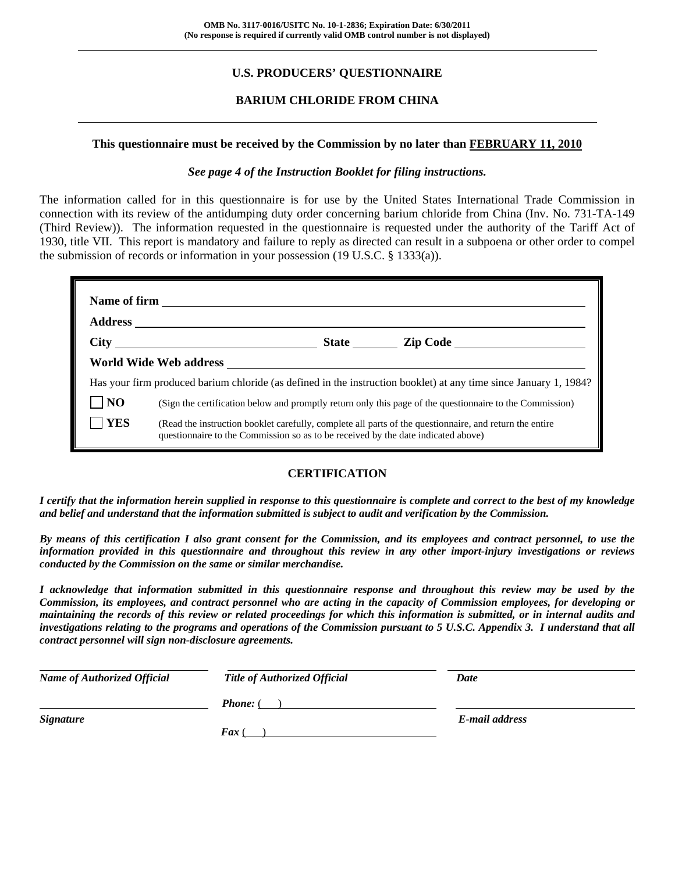## **U.S. PRODUCERS' QUESTIONNAIRE**

## **BARIUM CHLORIDE FROM CHINA**

#### **This questionnaire must be received by the Commission by no later than FEBRUARY 11, 2010**

#### *See page 4 of the Instruction Booklet for filing instructions.*

The information called for in this questionnaire is for use by the United States International Trade Commission in connection with its review of the antidumping duty order concerning barium chloride from China (Inv. No. 731-TA-149 (Third Review)). The information requested in the questionnaire is requested under the authority of the Tariff Act of 1930, title VII. This report is mandatory and failure to reply as directed can result in a subpoena or other order to compel the submission of records or information in your possession (19 U.S.C. § 1333(a)).

|                |                                                                                                                                                                                              | State <u>Lip Code</u> |
|----------------|----------------------------------------------------------------------------------------------------------------------------------------------------------------------------------------------|-----------------------|
|                |                                                                                                                                                                                              |                       |
|                | Has your firm produced barium chloride (as defined in the instruction booklet) at any time since January 1, 1984?                                                                            |                       |
| N <sub>O</sub> | (Sign the certification below and promptly return only this page of the questionnaire to the Commission)                                                                                     |                       |
| <b>YES</b>     | (Read the instruction booklet carefully, complete all parts of the questionnaire, and return the entire<br>questionnaire to the Commission so as to be received by the date indicated above) |                       |

## **CERTIFICATION**

*I certify that the information herein supplied in response to this questionnaire is complete and correct to the best of my knowledge and belief and understand that the information submitted is subject to audit and verification by the Commission.* 

*By means of this certification I also grant consent for the Commission, and its employees and contract personnel, to use the information provided in this questionnaire and throughout this review in any other import-injury investigations or reviews conducted by the Commission on the same or similar merchandise.* 

*I acknowledge that information submitted in this questionnaire response and throughout this review may be used by the Commission, its employees, and contract personnel who are acting in the capacity of Commission employees, for developing or maintaining the records of this review or related proceedings for which this information is submitted, or in internal audits and investigations relating to the programs and operations of the Commission pursuant to 5 U.S.C. Appendix 3. I understand that all contract personnel will sign non-disclosure agreements.* 

| <b>Name of Authorized Official</b> | <b>Title of Authorized Official</b> | Date           |
|------------------------------------|-------------------------------------|----------------|
|                                    | <b>Phone:</b> (                     |                |
| <b>Signature</b>                   |                                     | E-mail address |
|                                    | $\int$ <i>Fax</i>                   |                |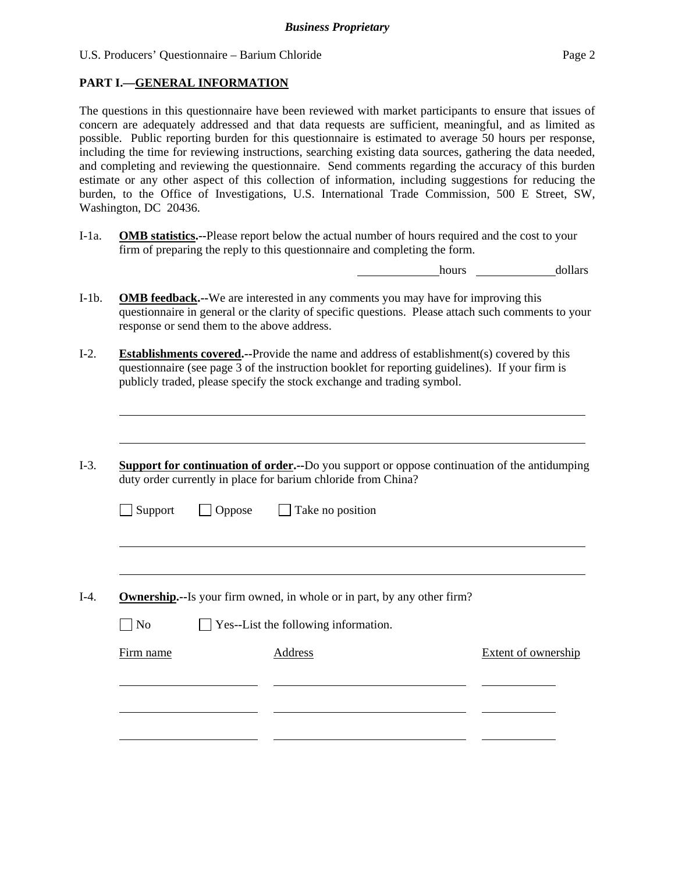## **PART I.—GENERAL INFORMATION**

 $\overline{a}$ 

l

The questions in this questionnaire have been reviewed with market participants to ensure that issues of concern are adequately addressed and that data requests are sufficient, meaningful, and as limited as possible. Public reporting burden for this questionnaire is estimated to average 50 hours per response, including the time for reviewing instructions, searching existing data sources, gathering the data needed, and completing and reviewing the questionnaire. Send comments regarding the accuracy of this burden estimate or any other aspect of this collection of information, including suggestions for reducing the burden, to the Office of Investigations, U.S. International Trade Commission, 500 E Street, SW, Washington, DC 20436.

I-1a. **OMB statistics.--**Please report below the actual number of hours required and the cost to your firm of preparing the reply to this questionnaire and completing the form.

hours hours dollars

- I-1b. **OMB feedback.--**We are interested in any comments you may have for improving this questionnaire in general or the clarity of specific questions. Please attach such comments to your response or send them to the above address.
- I-2. **Establishments covered.--**Provide the name and address of establishment(s) covered by this questionnaire (see page 3 of the instruction booklet for reporting guidelines). If your firm is publicly traded, please specify the stock exchange and trading symbol.
- I-3. **Support for continuation of order.--**Do you support or oppose continuation of the antidumping duty order currently in place for barium chloride from China?

| $\Box$ Support | $\Box$ Oppose | Take no position |
|----------------|---------------|------------------|
|----------------|---------------|------------------|

I-4. **Ownership.--**Is your firm owned, in whole or in part, by any other firm?

| $\Box$ No | $\Box$ Yes--List the following information. |
|-----------|---------------------------------------------|
|-----------|---------------------------------------------|

| Firm name | Address | Extent of ownership |
|-----------|---------|---------------------|
|           |         |                     |
|           |         |                     |
|           |         |                     |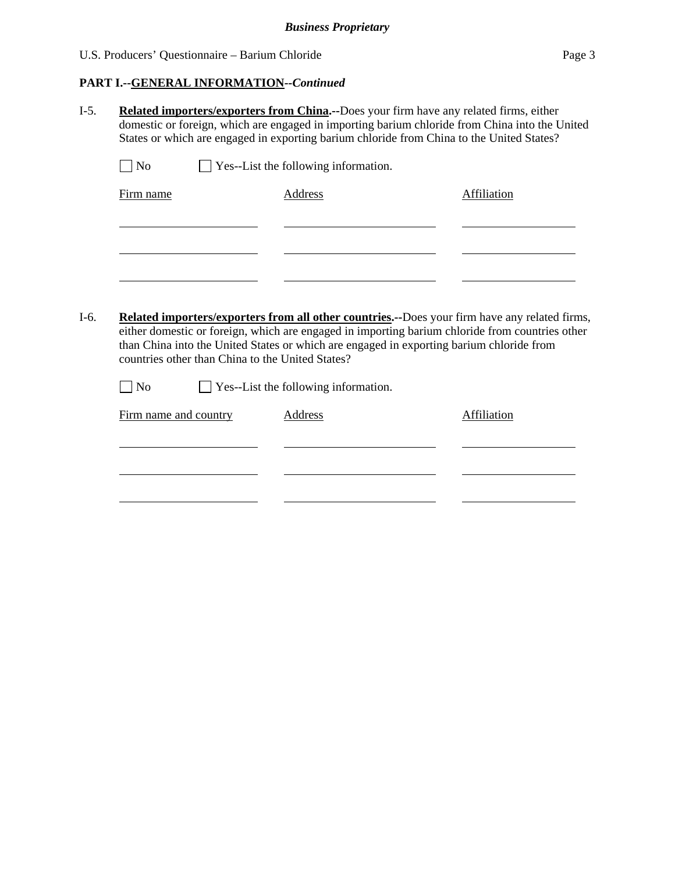## **PART I.--GENERAL INFORMATION***--Continued*

I-5. **Related importers/exporters from China.--**Does your firm have any related firms, either domestic or foreign, which are engaged in importing barium chloride from China into the United States or which are engaged in exporting barium chloride from China to the United States?

| $\Box$ No | $\Box$ Yes--List the following information. |             |
|-----------|---------------------------------------------|-------------|
| Firm name | Address                                     | Affiliation |
|           |                                             |             |
|           |                                             |             |
|           |                                             |             |
|           |                                             |             |

I-6. **Related importers/exporters from all other countries.--**Does your firm have any related firms, either domestic or foreign, which are engaged in importing barium chloride from countries other than China into the United States or which are engaged in exporting barium chloride from countries other than China to the United States?

 $\Box$  No  $\Box$  Yes--List the following information.

| Firm name and country | Address | Affiliation |
|-----------------------|---------|-------------|
|                       |         |             |
|                       |         |             |
|                       |         |             |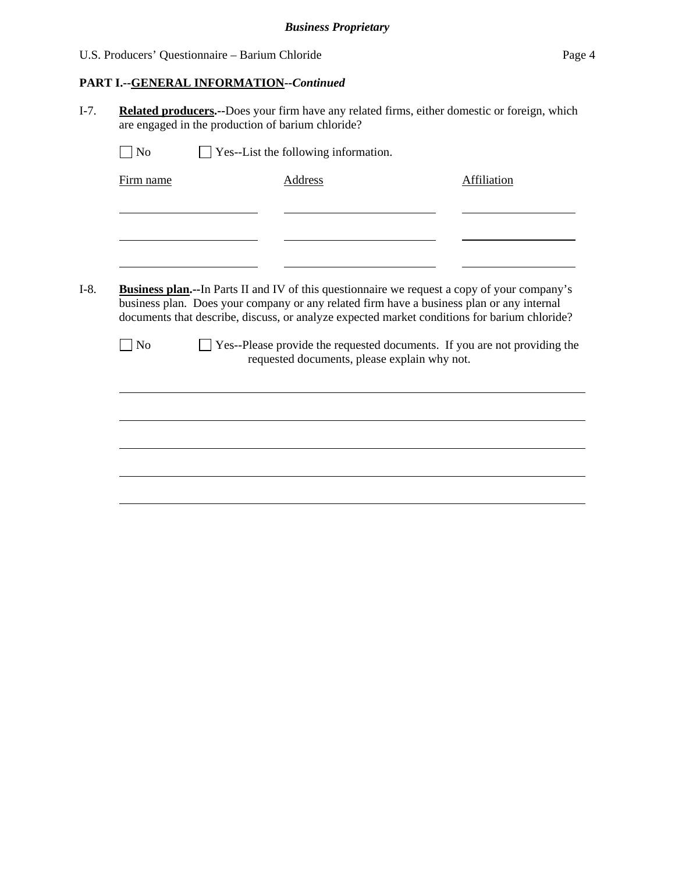## **PART I.--GENERAL INFORMATION***--Continued*

I-7. **Related producers.--**Does your firm have any related firms, either domestic or foreign, which are engaged in the production of barium chloride?

| Firm name         | <b>Address</b>                                                                                                                                                                            | <b>Affiliation</b> |
|-------------------|-------------------------------------------------------------------------------------------------------------------------------------------------------------------------------------------|--------------------|
|                   |                                                                                                                                                                                           |                    |
|                   |                                                                                                                                                                                           |                    |
|                   |                                                                                                                                                                                           |                    |
|                   |                                                                                                                                                                                           |                    |
|                   | <b>Business plan.--</b> In Parts II and IV of this questionnaire we request a copy of your company's                                                                                      |                    |
|                   | business plan. Does your company or any related firm have a business plan or any internal<br>documents that describe, discuss, or analyze expected market conditions for barium chloride? |                    |
| $\blacksquare$ No | □ Yes--Please provide the requested documents. If you are not providing the<br>requested documents, please explain why not.                                                               |                    |
|                   |                                                                                                                                                                                           |                    |
|                   |                                                                                                                                                                                           |                    |
|                   |                                                                                                                                                                                           |                    |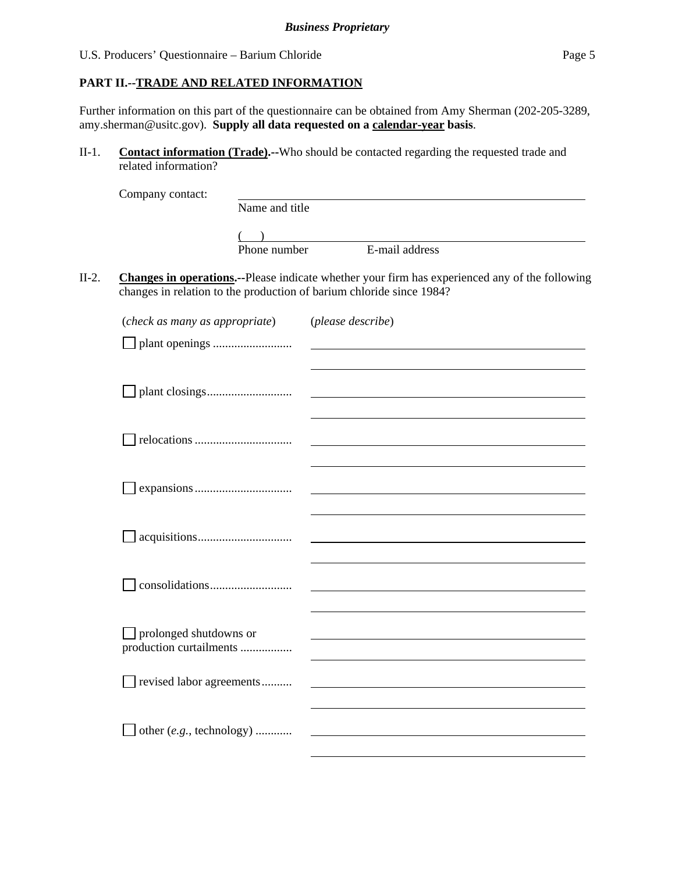## **PART II.--TRADE AND RELATED INFORMATION**

Further information on this part of the questionnaire can be obtained from Amy Sherman (202-205-3289, amy.sherman@usitc.gov). **Supply all data requested on a calendar-year basis**.

II-1. **Contact information (Trade).--**Who should be contacted regarding the requested trade and related information?

| Company contact: |                |                |  |
|------------------|----------------|----------------|--|
|                  | Name and title |                |  |
|                  |                |                |  |
|                  | Phone number   | E-mail address |  |
|                  |                |                |  |

II-2. **Changes in operations.--**Please indicate whether your firm has experienced any of the following changes in relation to the production of barium chloride since 1984?

| (check as many as appropriate) | (please describe) |
|--------------------------------|-------------------|
|                                |                   |
|                                |                   |
|                                |                   |
|                                |                   |
|                                |                   |
|                                |                   |
|                                |                   |
|                                |                   |
|                                |                   |
|                                |                   |
|                                |                   |
|                                |                   |
| $\Box$ prolonged shutdowns or  |                   |
| production curtailments        |                   |
| revised labor agreements       |                   |
|                                |                   |
| other (e.g., technology)       |                   |
|                                |                   |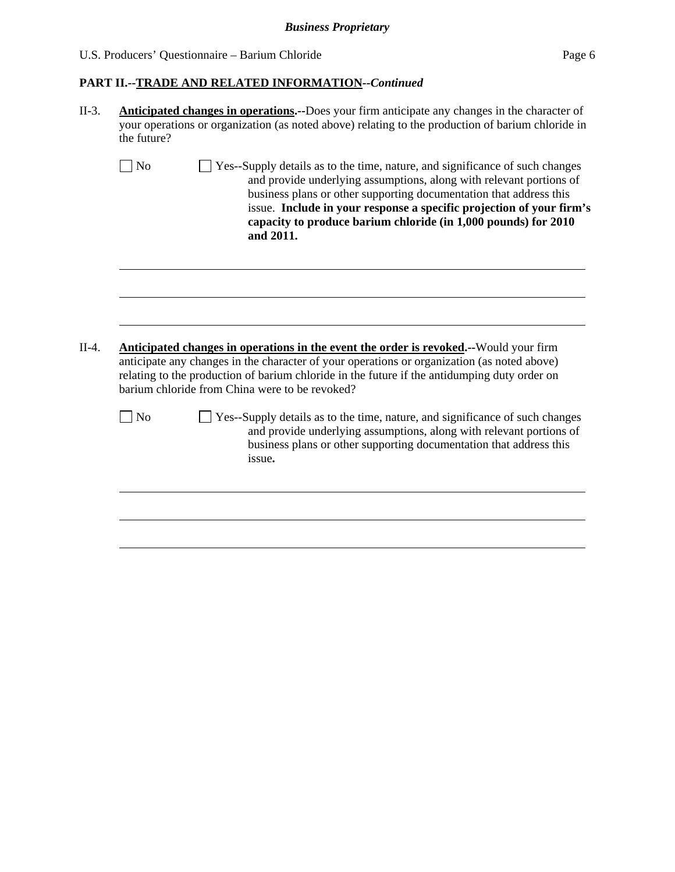# *Business Proprietary*

# U.S. Producers' Questionnaire – Barium Chloride Page 6

# **PART II.--TRADE AND RELATED INFORMATION***--Continued*

| the future?    | your operations or organization (as noted above) relating to the production of barium chloride in                                                                                                                                                                                                                                                                                |
|----------------|----------------------------------------------------------------------------------------------------------------------------------------------------------------------------------------------------------------------------------------------------------------------------------------------------------------------------------------------------------------------------------|
| N <sub>o</sub> | Yes--Supply details as to the time, nature, and significance of such changes<br>and provide underlying assumptions, along with relevant portions of<br>business plans or other supporting documentation that address this<br>issue. Include in your response a specific projection of your firm's<br>capacity to produce barium chloride (in 1,000 pounds) for 2010<br>and 2011. |
|                |                                                                                                                                                                                                                                                                                                                                                                                  |
|                | Anticipated changes in operations in the event the order is revoked.--Would your firm<br>anticipate any changes in the character of your operations or organization (as noted above)<br>relating to the production of barium chloride in the future if the antidumping duty order on<br>barium chloride from China were to be revoked?                                           |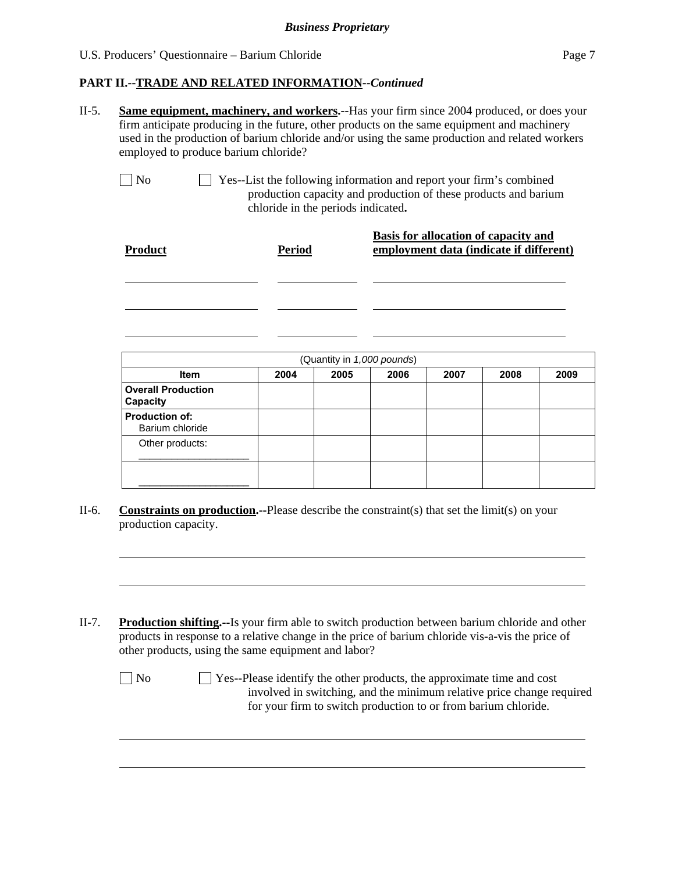l

 $\overline{a}$ 

l

## **PART II.--TRADE AND RELATED INFORMATION***--Continued*

II-5. **Same equipment, machinery, and workers.--**Has your firm since 2004 produced, or does your firm anticipate producing in the future, other products on the same equipment and machinery used in the production of barium chloride and/or using the same production and related workers employed to produce barium chloride?

No Ses-List the following information and report your firm's combined production capacity and production of these products and barium chloride in the periods indicated**.**

| <b>Product</b> | Period | Basis for allocation of capacity and<br>employment data (indicate if different) |
|----------------|--------|---------------------------------------------------------------------------------|
|                |        |                                                                                 |
|                |        |                                                                                 |

| (Quantity in 1,000 pounds)               |      |      |      |      |      |      |  |  |  |
|------------------------------------------|------|------|------|------|------|------|--|--|--|
| <b>Item</b>                              | 2004 | 2005 | 2006 | 2007 | 2008 | 2009 |  |  |  |
| <b>Overall Production</b><br>Capacity    |      |      |      |      |      |      |  |  |  |
| <b>Production of:</b><br>Barium chloride |      |      |      |      |      |      |  |  |  |
| Other products:                          |      |      |      |      |      |      |  |  |  |
|                                          |      |      |      |      |      |      |  |  |  |

- II-6. **Constraints on production.--**Please describe the constraint(s) that set the limit(s) on your production capacity.
- II-7. **Production shifting.--**Is your firm able to switch production between barium chloride and other products in response to a relative change in the price of barium chloride vis-a-vis the price of other products, using the same equipment and labor?

 $\Box$  No  $\Box$  Yes--Please identify the other products, the approximate time and cost involved in switching, and the minimum relative price change required for your firm to switch production to or from barium chloride.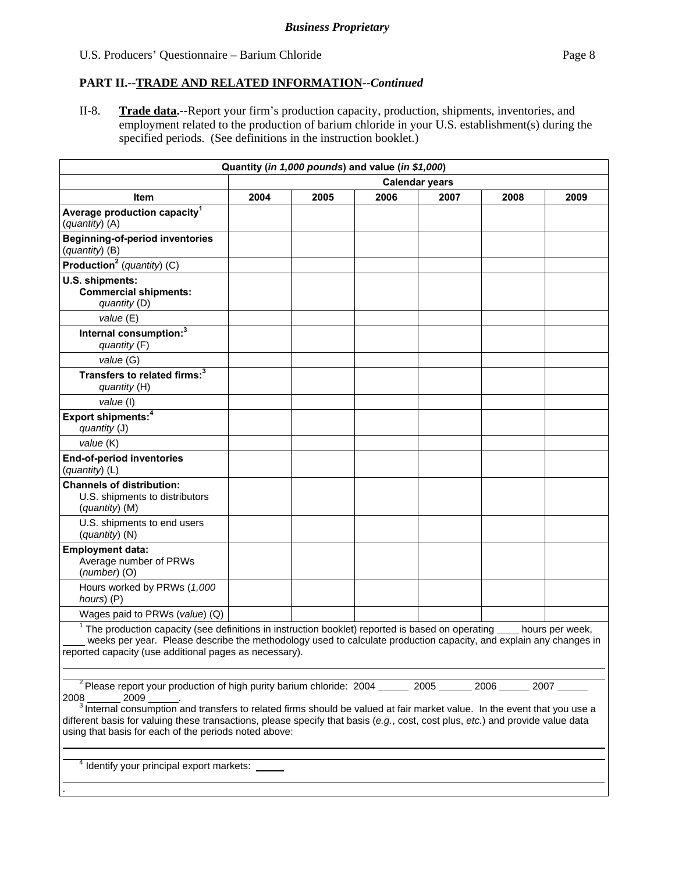.

## **PART II.--TRADE AND RELATED INFORMATION***--Continued*

II-8. **Trade data.--**Report your firm's production capacity, production, shipments, inventories, and employment related to the production of barium chloride in your U.S. establishment(s) during the specified periods. (See definitions in the instruction booklet.)

|                                                                                                                                                                                                                                                                                                                                                                                                                           |      | Quantity (in 1,000 pounds) and value (in \$1,000) |      |                       |      |                 |
|---------------------------------------------------------------------------------------------------------------------------------------------------------------------------------------------------------------------------------------------------------------------------------------------------------------------------------------------------------------------------------------------------------------------------|------|---------------------------------------------------|------|-----------------------|------|-----------------|
|                                                                                                                                                                                                                                                                                                                                                                                                                           |      |                                                   |      | <b>Calendar years</b> |      |                 |
| <b>Item</b>                                                                                                                                                                                                                                                                                                                                                                                                               | 2004 | 2005                                              | 2006 | 2007                  | 2008 | 2009            |
| Average production capacity <sup>1</sup><br>(quantity) (A)                                                                                                                                                                                                                                                                                                                                                                |      |                                                   |      |                       |      |                 |
| <b>Beginning-of-period inventories</b><br>(quantity) (B)                                                                                                                                                                                                                                                                                                                                                                  |      |                                                   |      |                       |      |                 |
| Production <sup>2</sup> (quantity) (C)                                                                                                                                                                                                                                                                                                                                                                                    |      |                                                   |      |                       |      |                 |
| U.S. shipments:<br><b>Commercial shipments:</b><br>quantity (D)                                                                                                                                                                                                                                                                                                                                                           |      |                                                   |      |                       |      |                 |
| value (E)                                                                                                                                                                                                                                                                                                                                                                                                                 |      |                                                   |      |                       |      |                 |
| Internal consumption: <sup>3</sup><br>quantity (F)                                                                                                                                                                                                                                                                                                                                                                        |      |                                                   |      |                       |      |                 |
| value (G)                                                                                                                                                                                                                                                                                                                                                                                                                 |      |                                                   |      |                       |      |                 |
| Transfers to related firms: <sup>3</sup><br>quantity (H)                                                                                                                                                                                                                                                                                                                                                                  |      |                                                   |      |                       |      |                 |
| value (I)                                                                                                                                                                                                                                                                                                                                                                                                                 |      |                                                   |      |                       |      |                 |
| Export shipments: <sup>4</sup><br>quantity (J)                                                                                                                                                                                                                                                                                                                                                                            |      |                                                   |      |                       |      |                 |
| value (K)                                                                                                                                                                                                                                                                                                                                                                                                                 |      |                                                   |      |                       |      |                 |
| <b>End-of-period inventories</b><br>(quantity) (L)                                                                                                                                                                                                                                                                                                                                                                        |      |                                                   |      |                       |      |                 |
| <b>Channels of distribution:</b><br>U.S. shipments to distributors<br>(quantity) (M)                                                                                                                                                                                                                                                                                                                                      |      |                                                   |      |                       |      |                 |
| U.S. shipments to end users<br>(quantity) (N)                                                                                                                                                                                                                                                                                                                                                                             |      |                                                   |      |                       |      |                 |
| <b>Employment data:</b><br>Average number of PRWs<br>$(number)$ (O)                                                                                                                                                                                                                                                                                                                                                       |      |                                                   |      |                       |      |                 |
| Hours worked by PRWs (1,000<br>hours) (P)                                                                                                                                                                                                                                                                                                                                                                                 |      |                                                   |      |                       |      |                 |
| Wages paid to PRWs (value) (Q)                                                                                                                                                                                                                                                                                                                                                                                            |      |                                                   |      |                       |      |                 |
| $1$ The production capacity (see definitions in instruction booklet) reported is based on operating $\overline{\phantom{a}}$<br>weeks per year. Please describe the methodology used to calculate production capacity, and explain any changes in<br>reported capacity (use additional pages as necessary).                                                                                                               |      |                                                   |      |                       |      | hours per week, |
| $2^2$ Please report your production of high purity barium chloride: $2004$ 2005 2006<br>2008<br>2009<br>Internal consumption and transfers to related firms should be valued at fair market value. In the event that you use a<br>different basis for valuing these transactions, please specify that basis (e.g., cost, cost plus, etc.) and provide value data<br>using that basis for each of the periods noted above: |      |                                                   |      |                       |      | 2007            |
| <sup>4</sup> Identify your principal export markets:                                                                                                                                                                                                                                                                                                                                                                      |      |                                                   |      |                       |      |                 |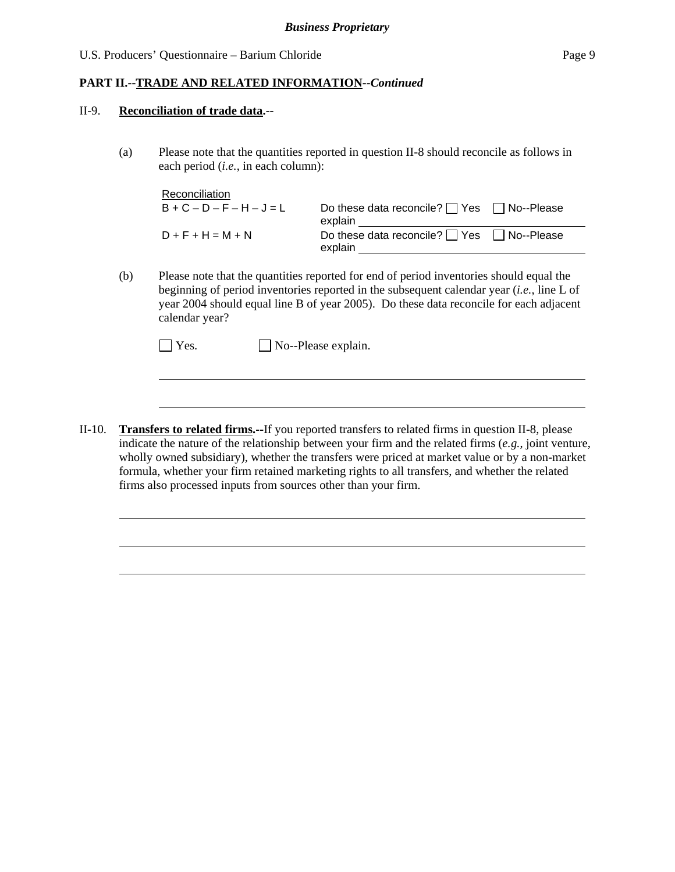## **PART II.--TRADE AND RELATED INFORMATION***--Continued*

#### II-9. **Reconciliation of trade data.--**

l

l

(a) Please note that the quantities reported in question II-8 should reconcile as follows in each period (*i.e.*, in each column):

| Reconciliation      |                                                                  |  |
|---------------------|------------------------------------------------------------------|--|
| $B+C-D-F-H-J=L$     | Do these data reconcile? $\Box$ Yes $\Box$ No--Please<br>explain |  |
| $D + F + H = M + N$ | Do these data reconcile? $\Box$ Yes $\Box$ No--Please<br>explain |  |

(b) Please note that the quantities reported for end of period inventories should equal the beginning of period inventories reported in the subsequent calendar year (*i.e.*, line L of year 2004 should equal line B of year 2005). Do these data reconcile for each adjacent calendar year?

II-10. **Transfers to related firms.--**If you reported transfers to related firms in question II-8, please indicate the nature of the relationship between your firm and the related firms (*e.g.*, joint venture, wholly owned subsidiary), whether the transfers were priced at market value or by a non-market formula, whether your firm retained marketing rights to all transfers, and whether the related firms also processed inputs from sources other than your firm.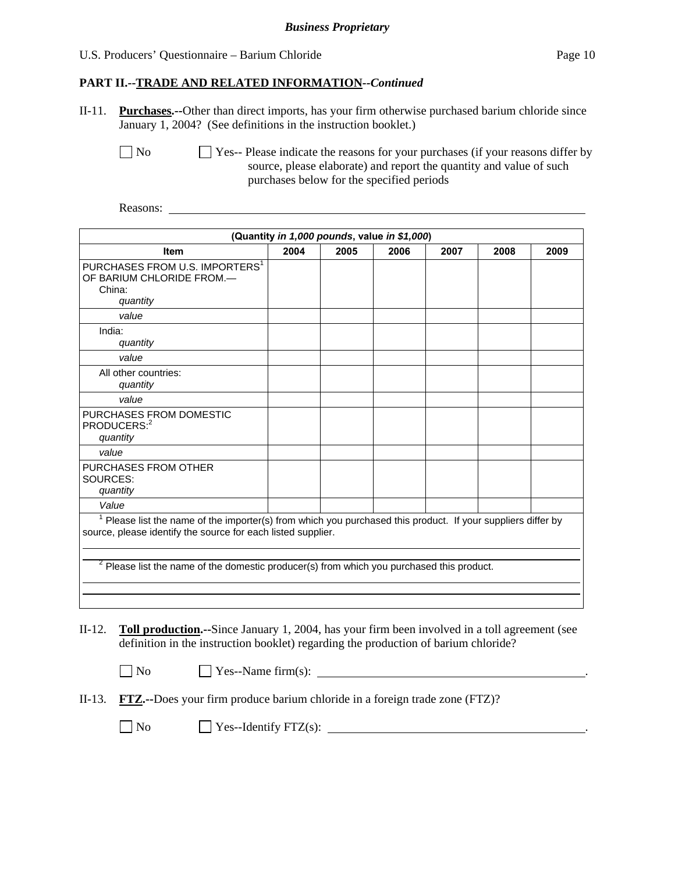## **PART II.--TRADE AND RELATED INFORMATION***--Continued*

II-11. **Purchases.--**Other than direct imports, has your firm otherwise purchased barium chloride since January 1, 2004? (See definitions in the instruction booklet.)

No Ses-- Please indicate the reasons for your purchases (if your reasons differ by source, please elaborate) and report the quantity and value of such purchases below for the specified periods

Reasons:

|                                                                                                                                                                                                                                                                               |      | (Quantity in 1,000 pounds, value in \$1,000) |      |      |      |      |
|-------------------------------------------------------------------------------------------------------------------------------------------------------------------------------------------------------------------------------------------------------------------------------|------|----------------------------------------------|------|------|------|------|
| <b>Item</b>                                                                                                                                                                                                                                                                   | 2004 | 2005                                         | 2006 | 2007 | 2008 | 2009 |
| PURCHASES FROM U.S. IMPORTERS <sup>1</sup><br>OF BARIUM CHLORIDE FROM.-<br>China:<br>quantity                                                                                                                                                                                 |      |                                              |      |      |      |      |
| value                                                                                                                                                                                                                                                                         |      |                                              |      |      |      |      |
| India:<br>quantity                                                                                                                                                                                                                                                            |      |                                              |      |      |      |      |
| value                                                                                                                                                                                                                                                                         |      |                                              |      |      |      |      |
| All other countries:<br>quantity                                                                                                                                                                                                                                              |      |                                              |      |      |      |      |
| value                                                                                                                                                                                                                                                                         |      |                                              |      |      |      |      |
| PURCHASES FROM DOMESTIC<br>PRODUCERS: <sup>2</sup><br>quantity                                                                                                                                                                                                                |      |                                              |      |      |      |      |
| value                                                                                                                                                                                                                                                                         |      |                                              |      |      |      |      |
| <b>PURCHASES FROM OTHER</b><br>SOURCES:<br>quantity                                                                                                                                                                                                                           |      |                                              |      |      |      |      |
| Value                                                                                                                                                                                                                                                                         |      |                                              |      |      |      |      |
| $1$ Please list the name of the importer(s) from which you purchased this product. If your suppliers differ by<br>source, please identify the source for each listed supplier.<br>$2$ Please list the name of the domestic producer(s) from which you purchased this product. |      |                                              |      |      |      |      |

II-12. **Toll production.--**Since January 1, 2004, has your firm been involved in a toll agreement (see definition in the instruction booklet) regarding the production of barium chloride?

| $\Box$ No<br>$\angle$ Yes--Name firm(s): |
|------------------------------------------|
|------------------------------------------|

II-13. **FTZ.--**Does your firm produce barium chloride in a foreign trade zone (FTZ)?

 $\Box$  No  $\Box$  Yes--Identify FTZ(s):  $\Box$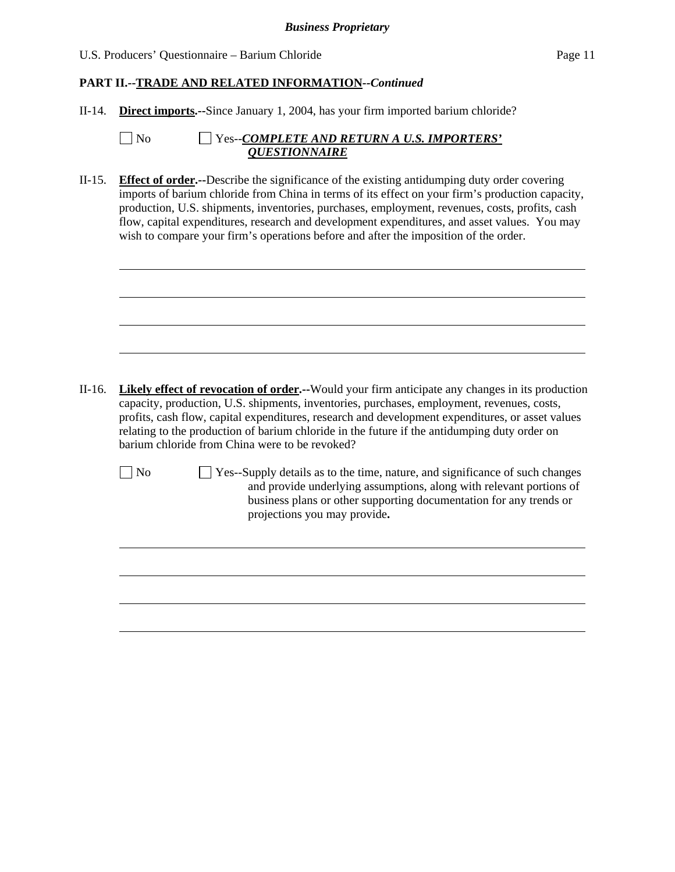## **PART II.--TRADE AND RELATED INFORMATION***--Continued*

II-14. **Direct imports.--**Since January 1, 2004, has your firm imported barium chloride?

| No | $\Box$ Yes--COMPLETE AND RETURN A U.S. IMPORTERS' |
|----|---------------------------------------------------|
|    | <b><i>OUESTIONNAIRE</i></b>                       |

II-15. **Effect of order.--**Describe the significance of the existing antidumping duty order covering imports of barium chloride from China in terms of its effect on your firm's production capacity, production, U.S. shipments, inventories, purchases, employment, revenues, costs, profits, cash flow, capital expenditures, research and development expenditures, and asset values. You may wish to compare your firm's operations before and after the imposition of the order.

II-16. **Likely effect of revocation of order.--**Would your firm anticipate any changes in its production capacity, production, U.S. shipments, inventories, purchases, employment, revenues, costs, profits, cash flow, capital expenditures, research and development expenditures, or asset values relating to the production of barium chloride in the future if the antidumping duty order on barium chloride from China were to be revoked?

l

 $\overline{a}$ 

No  $\Box$  Yes--Supply details as to the time, nature, and significance of such changes and provide underlying assumptions, along with relevant portions of business plans or other supporting documentation for any trends or projections you may provide**.**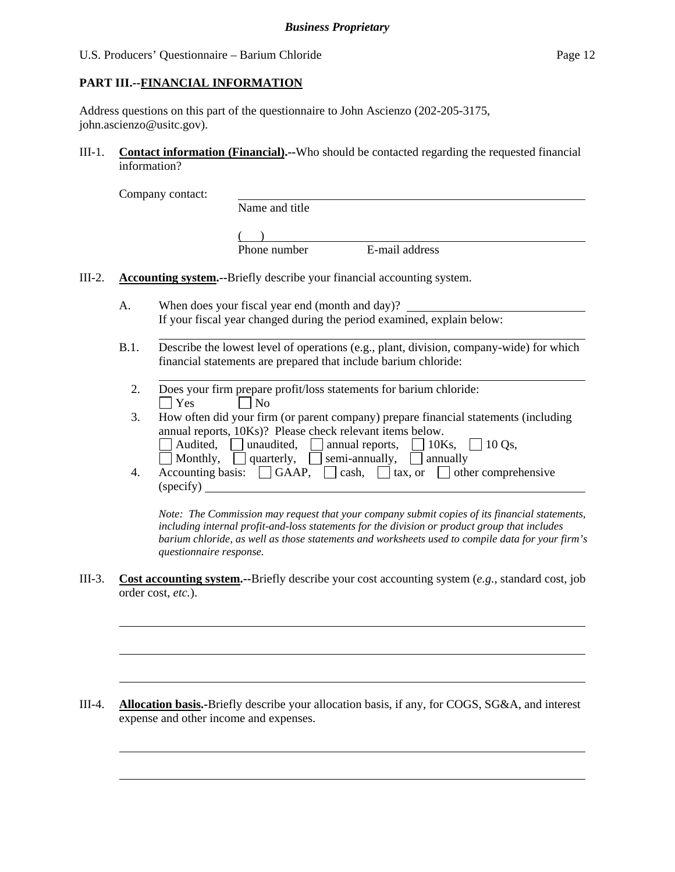## **PART III.--FINANCIAL INFORMATION**

 $\overline{a}$ 

 $\overline{a}$ 

l

 $\overline{a}$ 

Address questions on this part of the questionnaire to John Ascienzo (202-205-3175, john.ascienzo@usitc.gov).

III-1. **Contact information (Financial).--**Who should be contacted regarding the requested financial information?

| Company contact: |                |                |  |
|------------------|----------------|----------------|--|
|                  | Name and title |                |  |
|                  |                |                |  |
|                  |                |                |  |
|                  | Phone number   | E-mail address |  |
|                  |                |                |  |

- III-2. **Accounting system.--**Briefly describe your financial accounting system.
	- A. When does your fiscal year end (month and day)? If your fiscal year changed during the period examined, explain below:
	- B.1. Describe the lowest level of operations (e.g., plant, division, company-wide) for which financial statements are prepared that include barium chloride:
		- 2. Does your firm prepare profit/loss statements for barium chloride:  $\Box$  Yes  $\Box$  No

 3. How often did your firm (or parent company) prepare financial statements (including annual reports, 10Ks)? Please check relevant items below.  $\Box$  Audited,  $\Box$  unaudited,  $\Box$  annual reports,  $\Box$  10Ks,  $\Box$  10 Os,

- Monthly,  $\Box$  quarterly,  $\Box$  semi-annually,  $\Box$  annually
- 4. Accounting basis:  $\Box$  GAAP,  $\Box$  cash,  $\Box$  tax, or  $\Box$  other comprehensive (specify)

*Note: The Commission may request that your company submit copies of its financial statements, including internal profit-and-loss statements for the division or product group that includes barium chloride, as well as those statements and worksheets used to compile data for your firm's questionnaire response.* 

III-3. **Cost accounting system.--**Briefly describe your cost accounting system (*e.g.*, standard cost, job order cost, *etc.*).

III-4. **Allocation basis.-**Briefly describe your allocation basis, if any, for COGS, SG&A, and interest expense and other income and expenses.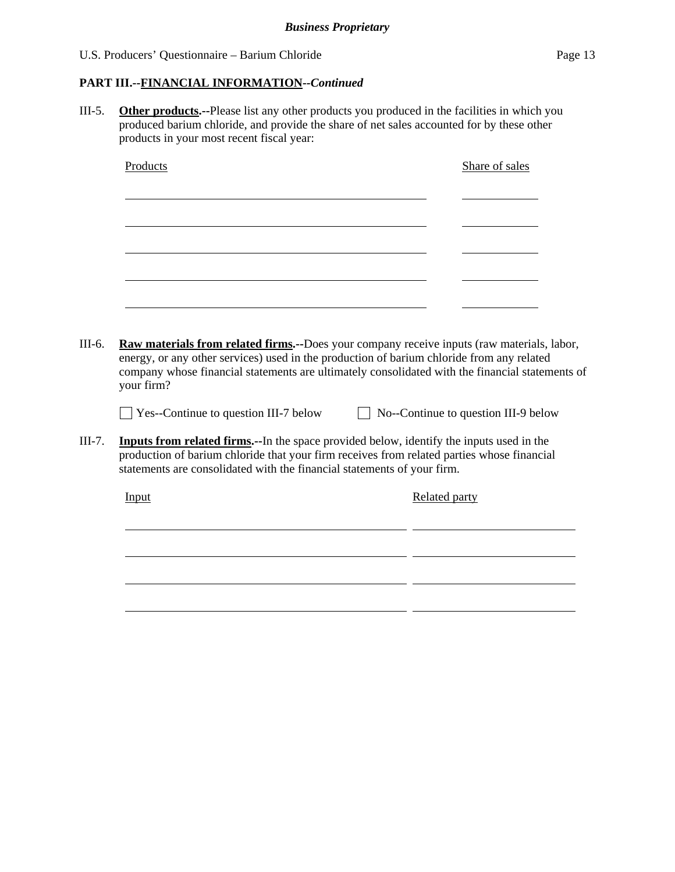## **PART III.--FINANCIAL INFORMATION***--Continued*

III-5. **Other products.--**Please list any other products you produced in the facilities in which you produced barium chloride, and provide the share of net sales accounted for by these other products in your most recent fiscal year:

| Products                                                                | Share of sales                                                                                                                                                                                                                                                                             |
|-------------------------------------------------------------------------|--------------------------------------------------------------------------------------------------------------------------------------------------------------------------------------------------------------------------------------------------------------------------------------------|
|                                                                         |                                                                                                                                                                                                                                                                                            |
|                                                                         |                                                                                                                                                                                                                                                                                            |
|                                                                         |                                                                                                                                                                                                                                                                                            |
|                                                                         |                                                                                                                                                                                                                                                                                            |
|                                                                         |                                                                                                                                                                                                                                                                                            |
| your firm?                                                              | Raw materials from related firms.--Does your company receive inputs (raw materials, labor,<br>energy, or any other services) used in the production of barium chloride from any related<br>company whose financial statements are ultimately consolidated with the financial statements of |
| Yes--Continue to question III-7 below                                   | No--Continue to question III-9 below                                                                                                                                                                                                                                                       |
| statements are consolidated with the financial statements of your firm. | Inputs from related firms.--In the space provided below, identify the inputs used in the<br>production of barium chloride that your firm receives from related parties whose financial                                                                                                     |
| Input                                                                   | Related party                                                                                                                                                                                                                                                                              |
|                                                                         |                                                                                                                                                                                                                                                                                            |
|                                                                         |                                                                                                                                                                                                                                                                                            |
|                                                                         |                                                                                                                                                                                                                                                                                            |
|                                                                         |                                                                                                                                                                                                                                                                                            |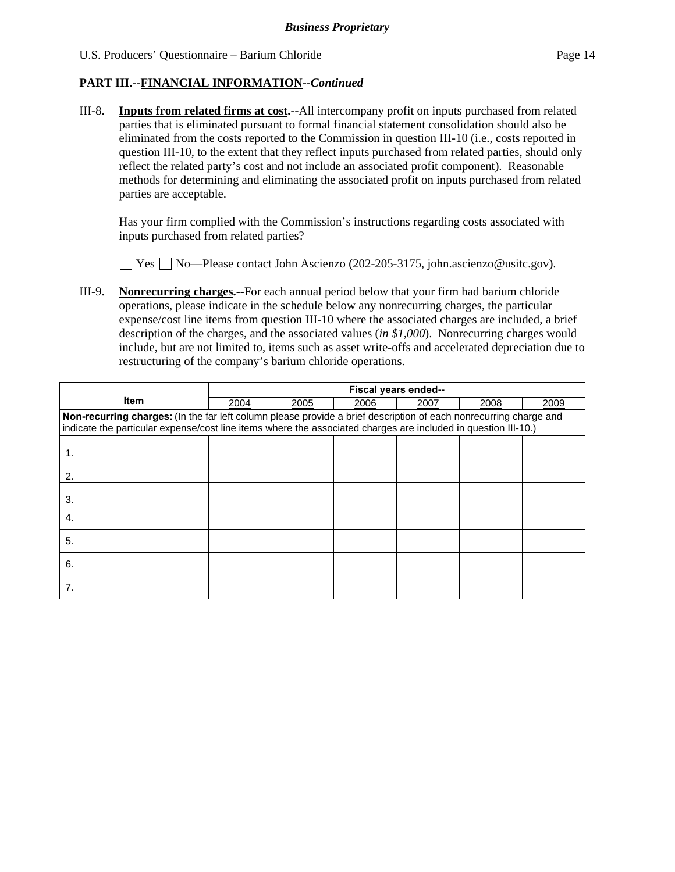## **PART III.--FINANCIAL INFORMATION***--Continued*

III-8. **Inputs from related firms at cost.--**All intercompany profit on inputs purchased from related parties that is eliminated pursuant to formal financial statement consolidation should also be eliminated from the costs reported to the Commission in question III-10 (i.e., costs reported in question III-10, to the extent that they reflect inputs purchased from related parties, should only reflect the related party's cost and not include an associated profit component). Reasonable methods for determining and eliminating the associated profit on inputs purchased from related parties are acceptable.

 Has your firm complied with the Commission's instructions regarding costs associated with inputs purchased from related parties?

Yes No—Please contact John Ascienzo (202-205-3175, john.ascienzo@usitc.gov).

III-9. **Nonrecurring charges.--**For each annual period below that your firm had barium chloride operations, please indicate in the schedule below any nonrecurring charges, the particular expense/cost line items from question III-10 where the associated charges are included, a brief description of the charges, and the associated values (*in \$1,000*). Nonrecurring charges would include, but are not limited to, items such as asset write-offs and accelerated depreciation due to restructuring of the company's barium chloride operations.

|      | Fiscal years ended--                                                                                                                                                                                                                |      |      |      |      |      |  |  |
|------|-------------------------------------------------------------------------------------------------------------------------------------------------------------------------------------------------------------------------------------|------|------|------|------|------|--|--|
| Item | 2004                                                                                                                                                                                                                                | 2005 | 2006 | 2007 | 2008 | 2009 |  |  |
|      | Non-recurring charges: (In the far left column please provide a brief description of each nonrecurring charge and<br>indicate the particular expense/cost line items where the associated charges are included in question III-10.) |      |      |      |      |      |  |  |
|      |                                                                                                                                                                                                                                     |      |      |      |      |      |  |  |
| 2.   |                                                                                                                                                                                                                                     |      |      |      |      |      |  |  |
| 3.   |                                                                                                                                                                                                                                     |      |      |      |      |      |  |  |
| 4.   |                                                                                                                                                                                                                                     |      |      |      |      |      |  |  |
| 5.   |                                                                                                                                                                                                                                     |      |      |      |      |      |  |  |
| 6.   |                                                                                                                                                                                                                                     |      |      |      |      |      |  |  |
| 7.   |                                                                                                                                                                                                                                     |      |      |      |      |      |  |  |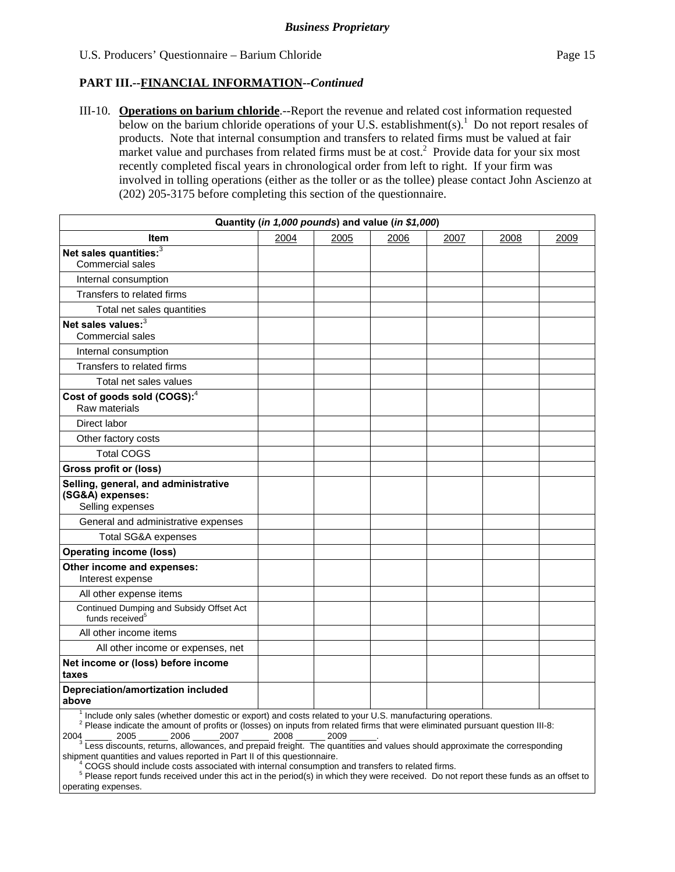## **PART III.--FINANCIAL INFORMATION***--Continued*

III-10. **Operations on barium chloride**.--Report the revenue and related cost information requested below on the barium chloride operations of your U.S. establishment(s).<sup>1</sup> Do not report resales of products. Note that internal consumption and transfers to related firms must be valued at fair market value and purchases from related firms must be at  $cost<sup>2</sup>$  Provide data for your six most recently completed fiscal years in chronological order from left to right. If your firm was involved in tolling operations (either as the toller or as the tollee) please contact John Ascienzo at (202) 205-3175 before completing this section of the questionnaire.

| Quantity (in 1,000 pounds) and value (in \$1,000)                       |      |      |      |      |      |      |  |  |
|-------------------------------------------------------------------------|------|------|------|------|------|------|--|--|
| <b>Item</b>                                                             | 2004 | 2005 | 2006 | 2007 | 2008 | 2009 |  |  |
| Net sales quantities: <sup>3</sup>                                      |      |      |      |      |      |      |  |  |
| Commercial sales                                                        |      |      |      |      |      |      |  |  |
| Internal consumption                                                    |      |      |      |      |      |      |  |  |
| Transfers to related firms                                              |      |      |      |      |      |      |  |  |
| Total net sales quantities                                              |      |      |      |      |      |      |  |  |
| Net sales values: <sup>3</sup>                                          |      |      |      |      |      |      |  |  |
| Commercial sales                                                        |      |      |      |      |      |      |  |  |
| Internal consumption                                                    |      |      |      |      |      |      |  |  |
| Transfers to related firms                                              |      |      |      |      |      |      |  |  |
| Total net sales values                                                  |      |      |      |      |      |      |  |  |
| Cost of goods sold $(COGS):4$<br>Raw materials                          |      |      |      |      |      |      |  |  |
| Direct labor                                                            |      |      |      |      |      |      |  |  |
| Other factory costs                                                     |      |      |      |      |      |      |  |  |
| <b>Total COGS</b>                                                       |      |      |      |      |      |      |  |  |
| <b>Gross profit or (loss)</b>                                           |      |      |      |      |      |      |  |  |
| Selling, general, and administrative                                    |      |      |      |      |      |      |  |  |
| (SG&A) expenses:<br>Selling expenses                                    |      |      |      |      |      |      |  |  |
| General and administrative expenses                                     |      |      |      |      |      |      |  |  |
| <b>Total SG&amp;A expenses</b>                                          |      |      |      |      |      |      |  |  |
| <b>Operating income (loss)</b>                                          |      |      |      |      |      |      |  |  |
| Other income and expenses:                                              |      |      |      |      |      |      |  |  |
| Interest expense                                                        |      |      |      |      |      |      |  |  |
| All other expense items                                                 |      |      |      |      |      |      |  |  |
| Continued Dumping and Subsidy Offset Act<br>funds received <sup>5</sup> |      |      |      |      |      |      |  |  |
| All other income items                                                  |      |      |      |      |      |      |  |  |
| All other income or expenses, net                                       |      |      |      |      |      |      |  |  |
| Net income or (loss) before income<br>taxes                             |      |      |      |      |      |      |  |  |
| Depreciation/amortization included<br>above<br>1.                       |      |      |      |      |      |      |  |  |

<sup>1</sup> Include only sales (whether domestic or export) and costs related to your U.S. manufacturing operations.<br><sup>2</sup> Please indicate the empure of profite or (logges) on inpute from related firms that were eliminated pursuan

 Please indicate the amount of profits or (losses) on inputs from related firms that were eliminated pursuant question III-8: 2004 \_\_\_\_\_\_\_ 2005 \_\_\_\_\_\_\_ 2006 \_\_\_\_\_\_ 2007 \_\_\_\_\_\_\_ 2008 \_\_\_\_\_\_ 2009 \_\_\_\_\_\_.<br><sup>3</sup> Less discounts, returns, allowances, and prepaid freight. The quantities and values should approximate the corresponding

shipment quantities and values reported in Part II of this questionnaire.

 $4$  COGS should include costs associated with internal consumption and transfers to related firms.

 Please report funds received under this act in the period(s) in which they were received. Do not report these funds as an offset to operating expenses.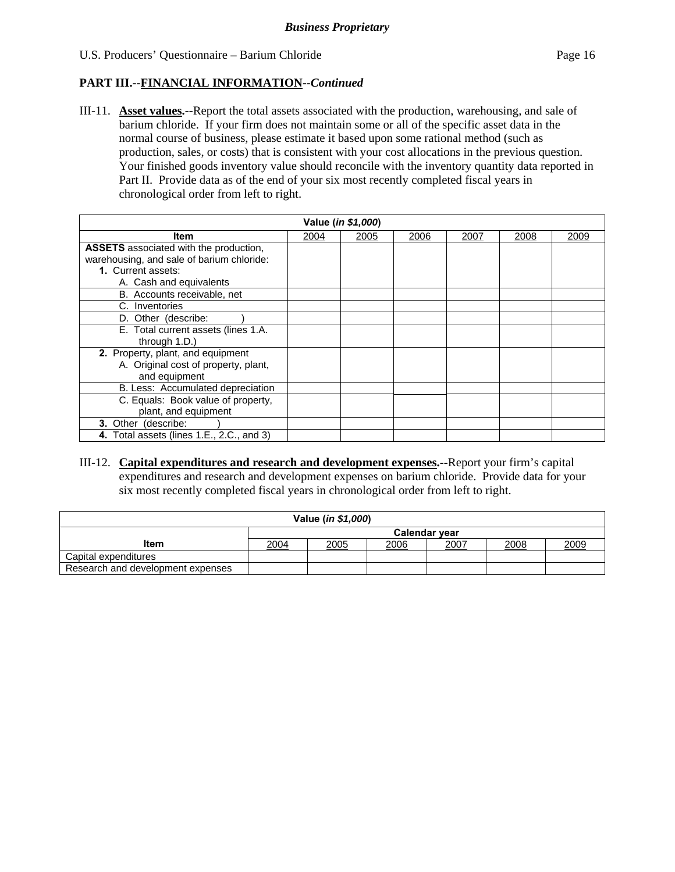## **PART III.--FINANCIAL INFORMATION***--Continued*

III-11. **Asset values.--**Report the total assets associated with the production, warehousing, and sale of barium chloride. If your firm does not maintain some or all of the specific asset data in the normal course of business, please estimate it based upon some rational method (such as production, sales, or costs) that is consistent with your cost allocations in the previous question. Your finished goods inventory value should reconcile with the inventory quantity data reported in Part II. Provide data as of the end of your six most recently completed fiscal years in chronological order from left to right.

| Value (in \$1,000)                            |      |      |      |      |      |      |  |  |
|-----------------------------------------------|------|------|------|------|------|------|--|--|
| ltem                                          | 2004 | 2005 | 2006 | 2007 | 2008 | 2009 |  |  |
| <b>ASSETS</b> associated with the production, |      |      |      |      |      |      |  |  |
| warehousing, and sale of barium chloride:     |      |      |      |      |      |      |  |  |
| 1. Current assets:                            |      |      |      |      |      |      |  |  |
| A. Cash and equivalents                       |      |      |      |      |      |      |  |  |
| B. Accounts receivable, net                   |      |      |      |      |      |      |  |  |
| C. Inventories                                |      |      |      |      |      |      |  |  |
| D. Other (describe:                           |      |      |      |      |      |      |  |  |
| E. Total current assets (lines 1.A.           |      |      |      |      |      |      |  |  |
| through 1.D.)                                 |      |      |      |      |      |      |  |  |
| 2. Property, plant, and equipment             |      |      |      |      |      |      |  |  |
| A. Original cost of property, plant,          |      |      |      |      |      |      |  |  |
| and equipment                                 |      |      |      |      |      |      |  |  |
| B. Less: Accumulated depreciation             |      |      |      |      |      |      |  |  |
| C. Equals: Book value of property,            |      |      |      |      |      |      |  |  |
| plant, and equipment                          |      |      |      |      |      |      |  |  |
| <b>3.</b> Other (describe:                    |      |      |      |      |      |      |  |  |
| 4. Total assets (lines 1.E., 2.C., and 3)     |      |      |      |      |      |      |  |  |

III-12. **Capital expenditures and research and development expenses.--**Report your firm's capital expenditures and research and development expenses on barium chloride. Provide data for your six most recently completed fiscal years in chronological order from left to right.

| Value ( <i>in \$1,000</i> )       |                      |      |      |      |      |      |
|-----------------------------------|----------------------|------|------|------|------|------|
|                                   | <b>Calendar vear</b> |      |      |      |      |      |
| <b>Item</b>                       | 2004                 | 2005 | 2006 | 2007 | 2008 | 2009 |
| Capital expenditures              |                      |      |      |      |      |      |
| Research and development expenses |                      |      |      |      |      |      |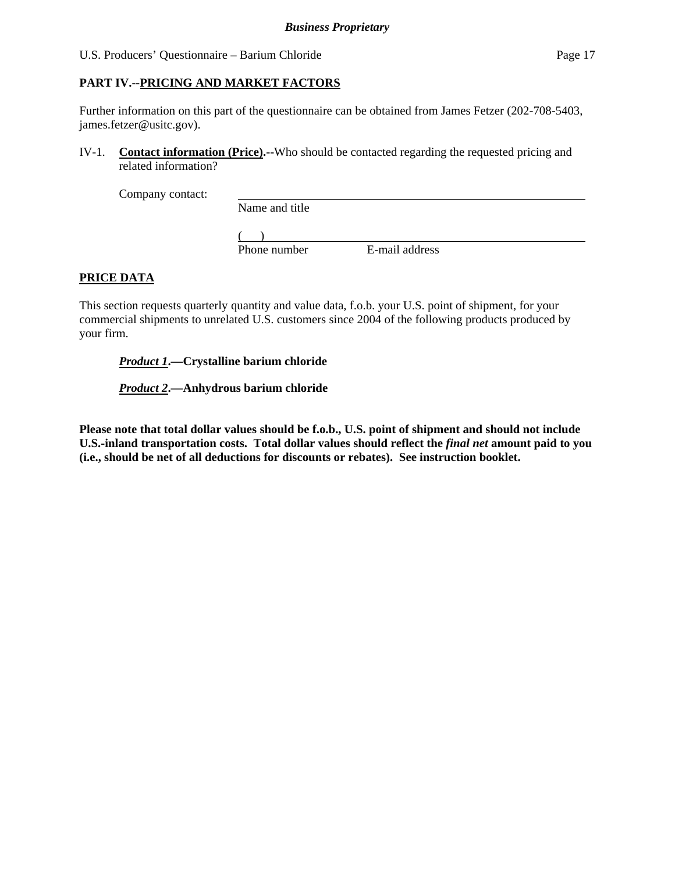**PART IV.--PRICING AND MARKET FACTORS**

Further information on this part of the questionnaire can be obtained from James Fetzer (202-708-5403, james.fetzer@usitc.gov).

IV-1. **Contact information (Price).--**Who should be contacted regarding the requested pricing and related information?

Company contact:

Name and title

 $($ 

Phone number E-mail address

## **PRICE DATA**

This section requests quarterly quantity and value data, f.o.b. your U.S. point of shipment, for your commercial shipments to unrelated U.S. customers since 2004 of the following products produced by your firm.

*Product 1***.—Crystalline barium chloride** 

*Product 2***.—Anhydrous barium chloride** 

**Please note that total dollar values should be f.o.b., U.S. point of shipment and should not include U.S.-inland transportation costs. Total dollar values should reflect the** *final net* **amount paid to you (i.e., should be net of all deductions for discounts or rebates). See instruction booklet.**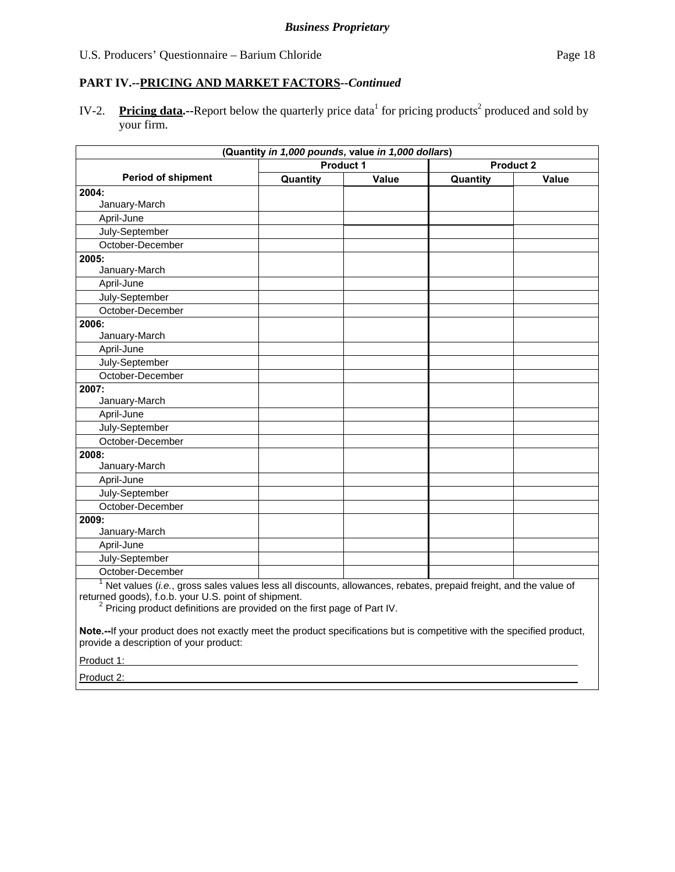## **PART IV.--PRICING AND MARKET FACTORS***--Continued*

IV-2. Pricing data.--Report below the quarterly price data<sup>1</sup> for pricing products<sup>2</sup> produced and sold by your firm.

| (Quantity in 1,000 pounds, value in 1,000 dollars) |                  |       |                  |       |  |
|----------------------------------------------------|------------------|-------|------------------|-------|--|
|                                                    | <b>Product 1</b> |       | <b>Product 2</b> |       |  |
| <b>Period of shipment</b>                          | Quantity         | Value | Quantity         | Value |  |
| 2004:                                              |                  |       |                  |       |  |
| January-March                                      |                  |       |                  |       |  |
| April-June                                         |                  |       |                  |       |  |
| July-September                                     |                  |       |                  |       |  |
| October-December                                   |                  |       |                  |       |  |
| 2005:                                              |                  |       |                  |       |  |
| January-March                                      |                  |       |                  |       |  |
| April-June                                         |                  |       |                  |       |  |
| July-September                                     |                  |       |                  |       |  |
| October-December                                   |                  |       |                  |       |  |
| 2006:                                              |                  |       |                  |       |  |
| January-March                                      |                  |       |                  |       |  |
| April-June                                         |                  |       |                  |       |  |
| July-September                                     |                  |       |                  |       |  |
| October-December                                   |                  |       |                  |       |  |
| 2007:                                              |                  |       |                  |       |  |
| January-March                                      |                  |       |                  |       |  |
| April-June                                         |                  |       |                  |       |  |
| July-September                                     |                  |       |                  |       |  |
| October-December                                   |                  |       |                  |       |  |
| 2008:                                              |                  |       |                  |       |  |
| January-March                                      |                  |       |                  |       |  |
| April-June                                         |                  |       |                  |       |  |
| July-September                                     |                  |       |                  |       |  |
| October-December                                   |                  |       |                  |       |  |
| 2009:                                              |                  |       |                  |       |  |
| January-March                                      |                  |       |                  |       |  |
| April-June                                         |                  |       |                  |       |  |
| July-September                                     |                  |       |                  |       |  |
| October-December                                   |                  |       |                  |       |  |
|                                                    |                  |       |                  |       |  |

<sup>1</sup> Net values (*i.e.*, gross sales values less all discounts, allowances, rebates, prepaid freight, and the value of returned goods), f.o.b. your U.S. point of shipment.<br><sup>2</sup> Pricing product definitions are provided on the first page of Part IV.

**Note.--**If your product does not exactly meet the product specifications but is competitive with the specified product, provide a description of your product:

Product 1:

Product 2: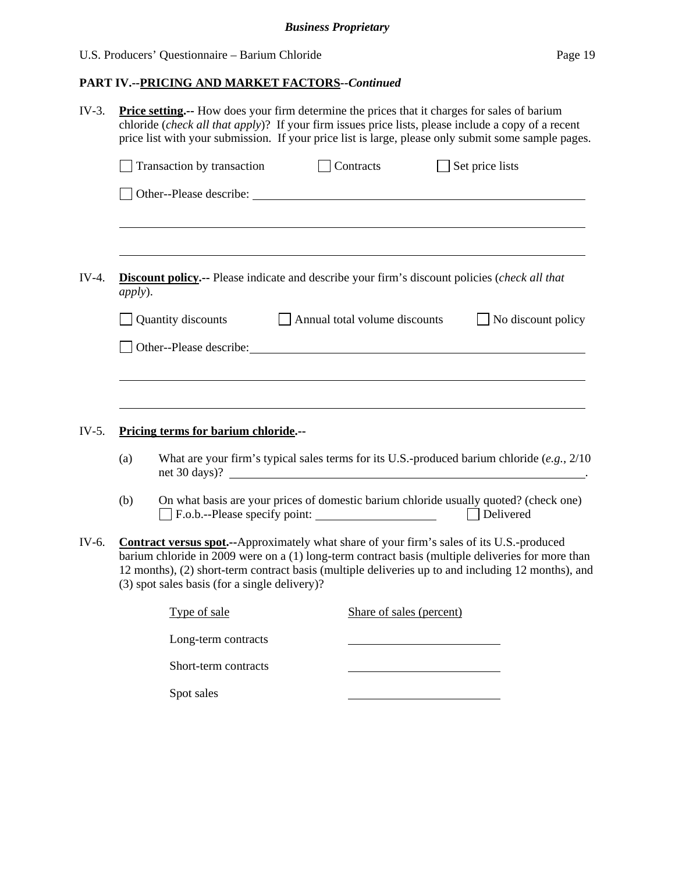# **PART IV.--PRICING AND MARKET FACTORS***--Continued*

| $IV-3.$ |                 | <b>Price setting.</b> -- How does your firm determine the prices that it charges for sales of barium<br>chloride (check all that apply)? If your firm issues price lists, please include a copy of a recent<br>price list with your submission. If your price list is large, please only submit some sample pages.                                            |                               |                        |                    |
|---------|-----------------|---------------------------------------------------------------------------------------------------------------------------------------------------------------------------------------------------------------------------------------------------------------------------------------------------------------------------------------------------------------|-------------------------------|------------------------|--------------------|
|         |                 | Transaction by transaction                                                                                                                                                                                                                                                                                                                                    | $\Box$ Contracts              | $\Box$ Set price lists |                    |
|         |                 |                                                                                                                                                                                                                                                                                                                                                               |                               |                        |                    |
| $IV-4.$ | <i>apply</i> ). | <b>Discount policy.</b> -- Please indicate and describe your firm's discount policies (check all that                                                                                                                                                                                                                                                         |                               |                        |                    |
|         |                 | Quantity discounts                                                                                                                                                                                                                                                                                                                                            | Annual total volume discounts |                        | No discount policy |
|         |                 | Other--Please describe: <u>contract and the set of the set of the set of the set of the set of the set of the set of the set of the set of the set of the set of the set of the set of the set of the set of the set of the set </u>                                                                                                                          |                               |                        |                    |
| $IV-5.$ | (a)             | Pricing terms for barium chloride.--<br>What are your firm's typical sales terms for its U.S.-produced barium chloride (e.g., $2/10$                                                                                                                                                                                                                          |                               |                        |                    |
|         | (b)             | On what basis are your prices of domestic barium chloride usually quoted? (check one)                                                                                                                                                                                                                                                                         |                               |                        | Delivered          |
| IV-6.   |                 | <b>Contract versus spot.</b> --Approximately what share of your firm's sales of its U.S.-produced<br>barium chloride in 2009 were on a (1) long-term contract basis (multiple deliveries for more than<br>12 months), (2) short-term contract basis (multiple deliveries up to and including 12 months), and<br>(3) spot sales basis (for a single delivery)? |                               |                        |                    |
|         |                 | Type of sale                                                                                                                                                                                                                                                                                                                                                  | Share of sales (percent)      |                        |                    |
|         |                 | Long-term contracts                                                                                                                                                                                                                                                                                                                                           |                               |                        |                    |
|         |                 | Short-term contracts                                                                                                                                                                                                                                                                                                                                          |                               |                        |                    |
|         |                 | Spot sales                                                                                                                                                                                                                                                                                                                                                    |                               |                        |                    |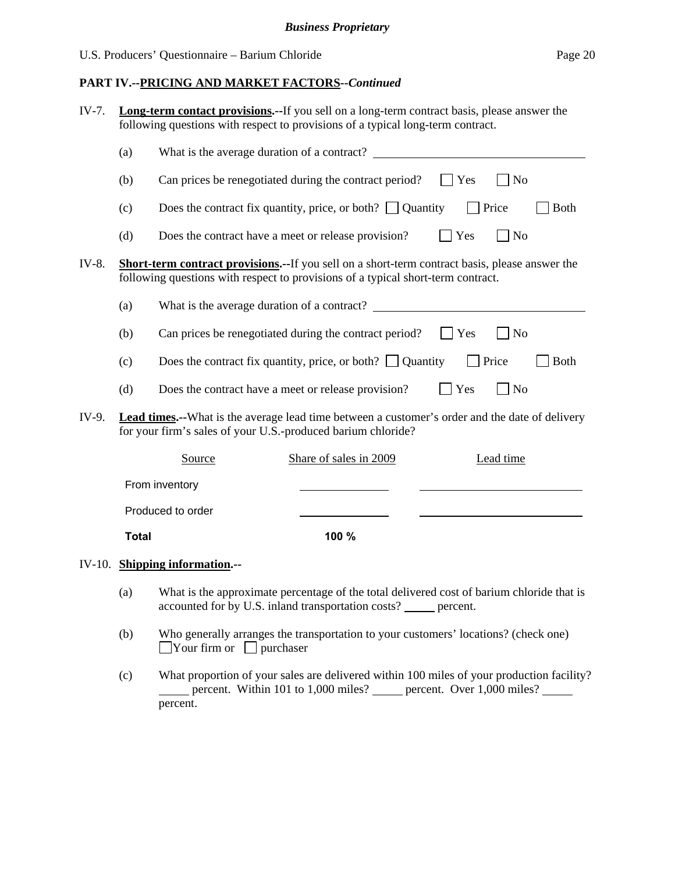#### **PART IV.--PRICING AND MARKET FACTORS***--Continued*

| IV-7. |              |                                                     | <b>Long-term contact provisions.</b> --If you sell on a long-term contract basis, please answer the<br>following questions with respect to provisions of a typical long-term contract.     |                |                             |
|-------|--------------|-----------------------------------------------------|--------------------------------------------------------------------------------------------------------------------------------------------------------------------------------------------|----------------|-----------------------------|
|       | (a)          |                                                     | What is the average duration of a contract?                                                                                                                                                |                |                             |
|       | (b)          |                                                     | Can prices be renegotiated during the contract period?                                                                                                                                     | $\mathbf{Yes}$ | $ $ No                      |
|       | (c)          |                                                     | Does the contract fix quantity, price, or both? $\Box$ Quantity                                                                                                                            |                | Price<br><b>Both</b>        |
|       | (d)          | Does the contract have a meet or release provision? |                                                                                                                                                                                            | $\vert$ Yes    | $\exists$ No                |
| IV-8. |              |                                                     | <b>Short-term contract provisions.--</b> If you sell on a short-term contract basis, please answer the<br>following questions with respect to provisions of a typical short-term contract. |                |                             |
|       | (a)          |                                                     | What is the average duration of a contract?                                                                                                                                                |                |                             |
|       | (b)          |                                                     | Can prices be renegotiated during the contract period?                                                                                                                                     | Yes            | N <sub>o</sub>              |
|       | (c)          |                                                     | Does the contract fix quantity, price, or both? $\Box$ Quantity                                                                                                                            |                | $\Box$ Price<br><b>Both</b> |
|       | (d)          | Does the contract have a meet or release provision? |                                                                                                                                                                                            | $\exists$ Yes  | $\Box$ No                   |
| IV-9. |              |                                                     | Lead times.--What is the average lead time between a customer's order and the date of delivery<br>for your firm's sales of your U.S.-produced barium chloride?                             |                |                             |
|       |              | Source                                              | Share of sales in 2009                                                                                                                                                                     |                | Lead time                   |
|       |              | From inventory                                      |                                                                                                                                                                                            |                |                             |
|       |              | Produced to order                                   |                                                                                                                                                                                            |                |                             |
|       | <b>Total</b> |                                                     | 100 %                                                                                                                                                                                      |                |                             |
|       |              | IV-10. Shipping information.--                      |                                                                                                                                                                                            |                |                             |

- (a) What is the approximate percentage of the total delivered cost of barium chloride that is accounted for by U.S. inland transportation costs? \_\_\_\_\_ percent.
- (b) Who generally arranges the transportation to your customers' locations? (check one)  $\Box$ Your firm or  $\Box$  purchaser
- (c) What proportion of your sales are delivered within 100 miles of your production facility? percent. Within 101 to 1,000 miles? percent. Over 1,000 miles? percent.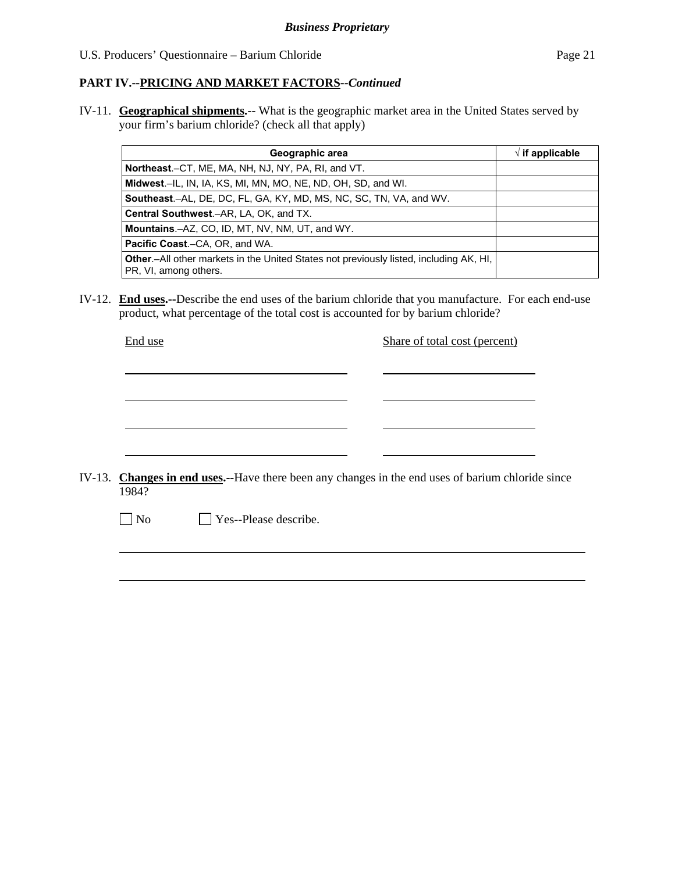## **PART IV.--PRICING AND MARKET FACTORS***--Continued*

IV-11. **Geographical shipments.--** What is the geographic market area in the United States served by your firm's barium chloride? (check all that apply)

| Geographic area                                                                                                         | $\sqrt{ }$ if applicable |
|-------------------------------------------------------------------------------------------------------------------------|--------------------------|
| <b>Northeast.</b> –CT, ME, MA, NH, NJ, NY, PA, RI, and VT.                                                              |                          |
| Midwest.-IL, IN, IA, KS, MI, MN, MO, NE, ND, OH, SD, and WI.                                                            |                          |
| <b>Southeast.–AL, DE, DC, FL, GA, KY, MD, MS, NC, SC, TN, VA, and WV.</b>                                               |                          |
| Central Southwest.-AR, LA, OK, and TX.                                                                                  |                          |
| <b>Mountains.-AZ, CO, ID, MT, NV, NM, UT, and WY.</b>                                                                   |                          |
| <b>Pacific Coast.–CA, OR, and WA.</b>                                                                                   |                          |
| <b>Other.</b> —All other markets in the United States not previously listed, including AK, HI,<br>PR, VI, among others. |                          |

IV-12. **End uses.--**Describe the end uses of the barium chloride that you manufacture. For each end-use product, what percentage of the total cost is accounted for by barium chloride?

| End use           |                              | Share of total cost (percent)                                                                     |  |
|-------------------|------------------------------|---------------------------------------------------------------------------------------------------|--|
|                   |                              |                                                                                                   |  |
|                   |                              |                                                                                                   |  |
|                   |                              |                                                                                                   |  |
| 1984?             |                              | IV-13. Changes in end uses.--Have there been any changes in the end uses of barium chloride since |  |
| $\blacksquare$ No | $\Box$ Yes--Please describe. |                                                                                                   |  |
|                   |                              |                                                                                                   |  |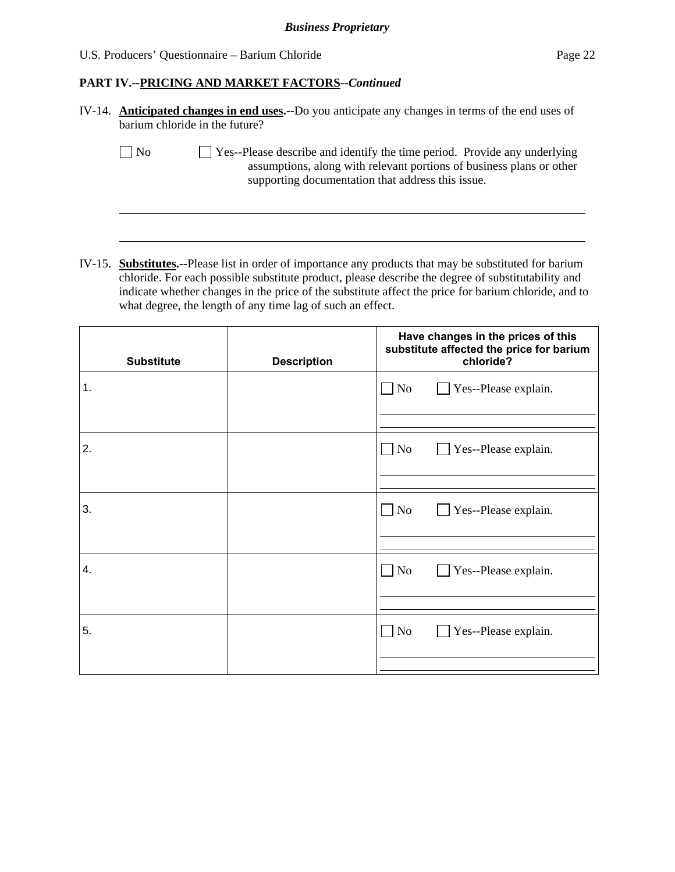## **PART IV.--PRICING AND MARKET FACTORS***--Continued*

| IV-14. <b>Anticipated changes in end uses.</b> --Do you anticipate any changes in terms of the end uses of |
|------------------------------------------------------------------------------------------------------------|
| barium chloride in the future?                                                                             |

 $\overline{a}$ 

 $\Box$  No  $\Box$  Yes--Please describe and identify the time period. Provide any underlying assumptions, along with relevant portions of business plans or other supporting documentation that address this issue.

IV-15. **Substitutes.--**Please list in order of importance any products that may be substituted for barium chloride. For each possible substitute product, please describe the degree of substitutability and indicate whether changes in the price of the substitute affect the price for barium chloride, and to what degree, the length of any time lag of such an effect.

| <b>Substitute</b> | <b>Description</b> | Have changes in the prices of this<br>substitute affected the price for barium<br>chloride? |
|-------------------|--------------------|---------------------------------------------------------------------------------------------|
| 1.                |                    | $\Box$ No<br>Yes--Please explain.                                                           |
| 2.                |                    | $\Box$ No<br>Yes--Please explain.                                                           |
| 3.                |                    | $\Box$ No<br>Yes--Please explain.                                                           |
| 4.                |                    | $\Box$ No<br>Yes--Please explain.                                                           |
| 5.                |                    | $\Box$ No<br>Yes--Please explain.                                                           |
|                   |                    |                                                                                             |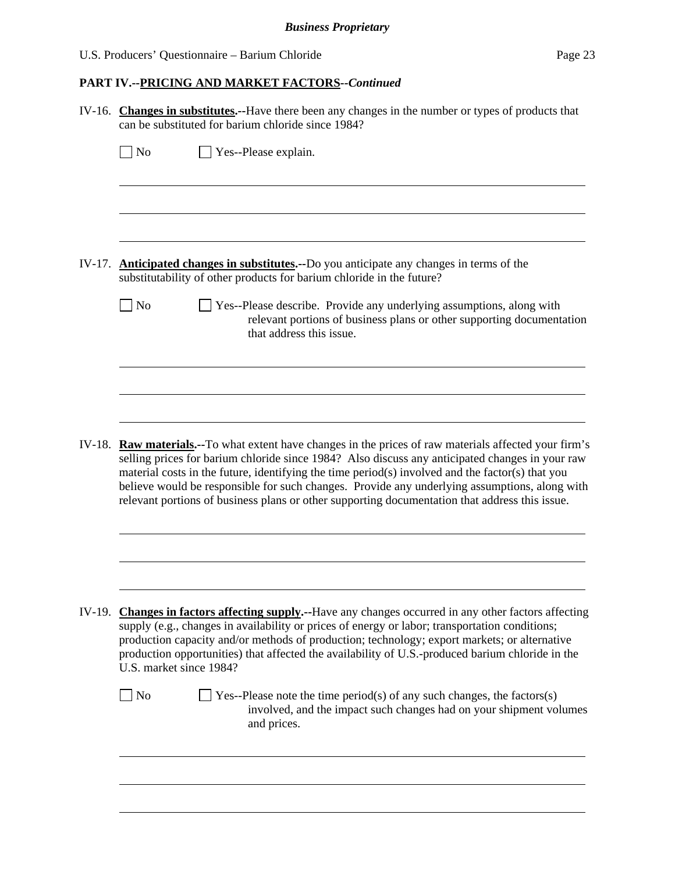# **PART IV.--PRICING AND MARKET FACTORS***--Continued*

| IV-16. Changes in substitutes.--Have there been any changes in the number or types of products that<br>can be substituted for barium chloride since 1984?                                                                                                                                                                                                                                                                              |
|----------------------------------------------------------------------------------------------------------------------------------------------------------------------------------------------------------------------------------------------------------------------------------------------------------------------------------------------------------------------------------------------------------------------------------------|
| Yes--Please explain.<br>$\overline{N_{0}}$                                                                                                                                                                                                                                                                                                                                                                                             |
| IV-17. Anticipated changes in substitutes.--Do you anticipate any changes in terms of the<br>substitutability of other products for barium chloride in the future?                                                                                                                                                                                                                                                                     |
| $ $ No<br>Yes--Please describe. Provide any underlying assumptions, along with<br>relevant portions of business plans or other supporting documentation<br>that address this issue.                                                                                                                                                                                                                                                    |
| IV-18. Raw materials.--To what extent have changes in the prices of raw materials affected your firm's                                                                                                                                                                                                                                                                                                                                 |
| selling prices for barium chloride since 1984? Also discuss any anticipated changes in your raw<br>material costs in the future, identifying the time period(s) involved and the factor(s) that you<br>believe would be responsible for such changes. Provide any underlying assumptions, along with<br>relevant portions of business plans or other supporting documentation that address this issue.                                 |
|                                                                                                                                                                                                                                                                                                                                                                                                                                        |
| IV-19. Changes in factors affecting supply.--Have any changes occurred in any other factors affecting<br>supply (e.g., changes in availability or prices of energy or labor; transportation conditions;<br>production capacity and/or methods of production; technology; export markets; or alternative<br>production opportunities) that affected the availability of U.S.-produced barium chloride in the<br>U.S. market since 1984? |
| $\vert$ Yes--Please note the time period(s) of any such changes, the factors(s)<br>$\Box$ No<br>involved, and the impact such changes had on your shipment volumes<br>and prices.                                                                                                                                                                                                                                                      |
|                                                                                                                                                                                                                                                                                                                                                                                                                                        |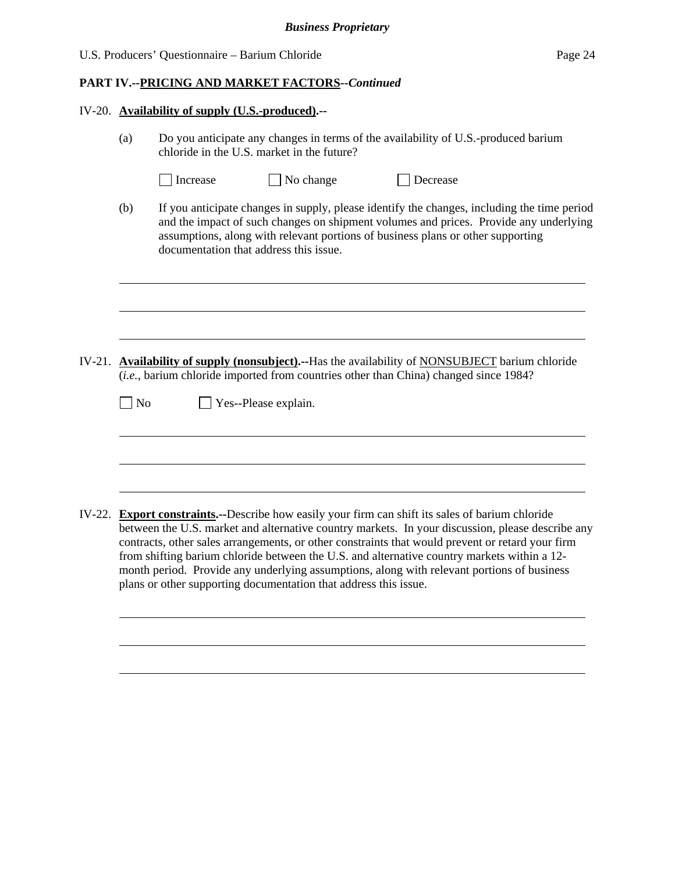## **PART IV.--PRICING AND MARKET FACTORS***--Continued*

#### IV-20. **Availability of supply (U.S.-produced).--**

- (a) Do you anticipate any changes in terms of the availability of U.S.-produced barium chloride in the U.S. market in the future?
	- $\Box$  Increase  $\Box$  No change  $\Box$  Decrease

l

l

(b) If you anticipate changes in supply, please identify the changes, including the time period and the impact of such changes on shipment volumes and prices. Provide any underlying assumptions, along with relevant portions of business plans or other supporting documentation that address this issue.

IV-21. **Availability of supply (nonsubject).--**Has the availability of NONSUBJECT barium chloride (*i.e.*, barium chloride imported from countries other than China) changed since 1984?

| $\Box$ Yes--Please explain.<br>$\overline{N_{0}}$                                                                                                                                                                                                                                                                |
|------------------------------------------------------------------------------------------------------------------------------------------------------------------------------------------------------------------------------------------------------------------------------------------------------------------|
|                                                                                                                                                                                                                                                                                                                  |
|                                                                                                                                                                                                                                                                                                                  |
| IV-22. <b>Export constraints.</b> --Describe how easily your firm can shift its sales of barium chloride<br>between the U.S. market and alternative country markets. In your discussion, please describe any<br>contracts, other sales arrangements, or other constraints that would prevent or retard your firm |
| from shifting barium chloride between the U.S. and alternative country markets within a 12-<br>month period. Provide any underlying assumptions, along with relevant portions of business<br>plans or other supporting documentation that address this issue.                                                    |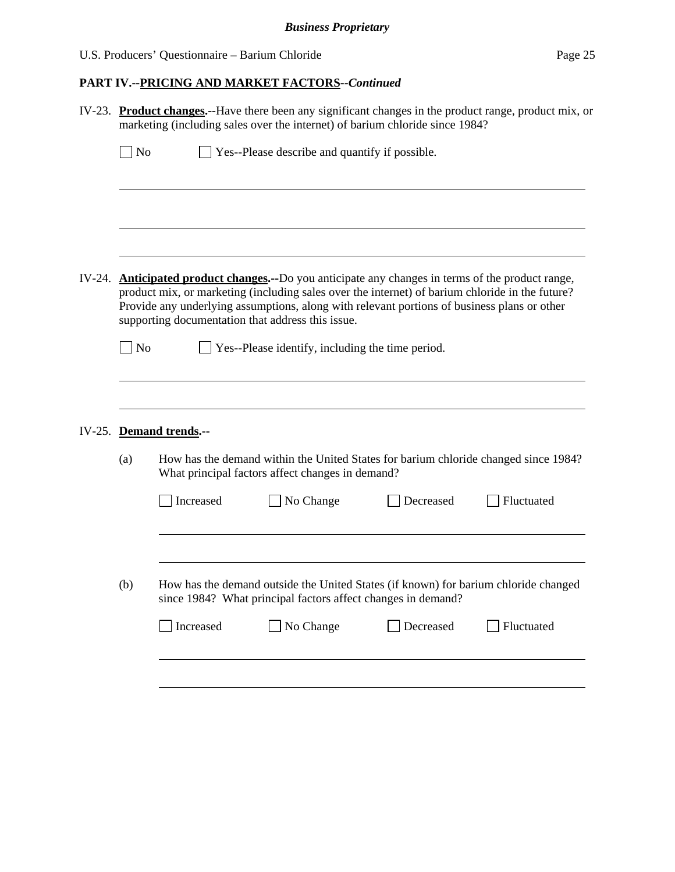# **PART IV.--PRICING AND MARKET FACTORS***--Continued*

|          | IV-23. Product changes.--Have there been any significant changes in the product range, product mix, or<br>marketing (including sales over the internet) of barium chloride since 1984? |                                                                                                                                                                                                                                                                                                                                                           |                                                                                                                                         |           |            |  |  |  |
|----------|----------------------------------------------------------------------------------------------------------------------------------------------------------------------------------------|-----------------------------------------------------------------------------------------------------------------------------------------------------------------------------------------------------------------------------------------------------------------------------------------------------------------------------------------------------------|-----------------------------------------------------------------------------------------------------------------------------------------|-----------|------------|--|--|--|
|          | $\rfloor$ No                                                                                                                                                                           |                                                                                                                                                                                                                                                                                                                                                           | $\Box$ Yes--Please describe and quantify if possible.                                                                                   |           |            |  |  |  |
|          |                                                                                                                                                                                        |                                                                                                                                                                                                                                                                                                                                                           |                                                                                                                                         |           |            |  |  |  |
|          |                                                                                                                                                                                        |                                                                                                                                                                                                                                                                                                                                                           |                                                                                                                                         |           |            |  |  |  |
| $IV-24.$ |                                                                                                                                                                                        | <b>Anticipated product changes.</b> --Do you anticipate any changes in terms of the product range,<br>product mix, or marketing (including sales over the internet) of barium chloride in the future?<br>Provide any underlying assumptions, along with relevant portions of business plans or other<br>supporting documentation that address this issue. |                                                                                                                                         |           |            |  |  |  |
|          | No                                                                                                                                                                                     |                                                                                                                                                                                                                                                                                                                                                           | Yes--Please identify, including the time period.                                                                                        |           |            |  |  |  |
|          |                                                                                                                                                                                        | IV-25. Demand trends.--                                                                                                                                                                                                                                                                                                                                   |                                                                                                                                         |           |            |  |  |  |
|          | (a)                                                                                                                                                                                    |                                                                                                                                                                                                                                                                                                                                                           | How has the demand within the United States for barium chloride changed since 1984?<br>What principal factors affect changes in demand? |           |            |  |  |  |
|          |                                                                                                                                                                                        | Increased                                                                                                                                                                                                                                                                                                                                                 | No Change                                                                                                                               | Decreased | Fluctuated |  |  |  |
|          | (b)                                                                                                                                                                                    |                                                                                                                                                                                                                                                                                                                                                           | How has the demand outside the United States (if known) for barium chloride changed                                                     |           |            |  |  |  |
|          |                                                                                                                                                                                        |                                                                                                                                                                                                                                                                                                                                                           | since 1984? What principal factors affect changes in demand?                                                                            |           |            |  |  |  |
|          |                                                                                                                                                                                        | Increased                                                                                                                                                                                                                                                                                                                                                 | No Change                                                                                                                               | Decreased | Fluctuated |  |  |  |
|          |                                                                                                                                                                                        |                                                                                                                                                                                                                                                                                                                                                           |                                                                                                                                         |           |            |  |  |  |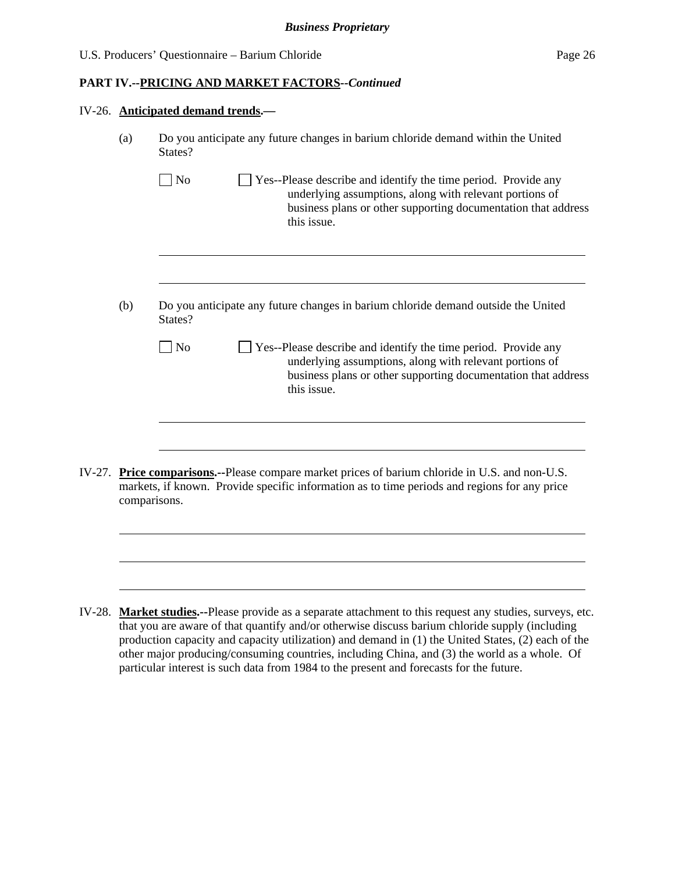## **PART IV.--PRICING AND MARKET FACTORS***--Continued*

|        |              | IV-26. <b>Anticipated demand trends.</b> —                                                                                                                                                                                  |  |  |  |
|--------|--------------|-----------------------------------------------------------------------------------------------------------------------------------------------------------------------------------------------------------------------------|--|--|--|
|        | (a)          | Do you anticipate any future changes in barium chloride demand within the United<br>States?                                                                                                                                 |  |  |  |
|        |              | N <sub>o</sub><br>Yes--Please describe and identify the time period. Provide any<br>underlying assumptions, along with relevant portions of<br>business plans or other supporting documentation that address<br>this issue. |  |  |  |
|        |              |                                                                                                                                                                                                                             |  |  |  |
|        | (b)          | Do you anticipate any future changes in barium chloride demand outside the United<br>States?                                                                                                                                |  |  |  |
|        |              | N <sub>o</sub><br>Yes--Please describe and identify the time period. Provide any<br>underlying assumptions, along with relevant portions of<br>business plans or other supporting documentation that address<br>this issue. |  |  |  |
|        |              |                                                                                                                                                                                                                             |  |  |  |
| IV-27. | comparisons. | <b>Price comparisons.</b> --Please compare market prices of barium chloride in U.S. and non-U.S.<br>markets, if known. Provide specific information as to time periods and regions for any price                            |  |  |  |
|        |              |                                                                                                                                                                                                                             |  |  |  |

IV-28. **Market studies.--**Please provide as a separate attachment to this request any studies, surveys, etc. that you are aware of that quantify and/or otherwise discuss barium chloride supply (including production capacity and capacity utilization) and demand in (1) the United States, (2) each of the other major producing/consuming countries, including China, and (3) the world as a whole. Of particular interest is such data from 1984 to the present and forecasts for the future.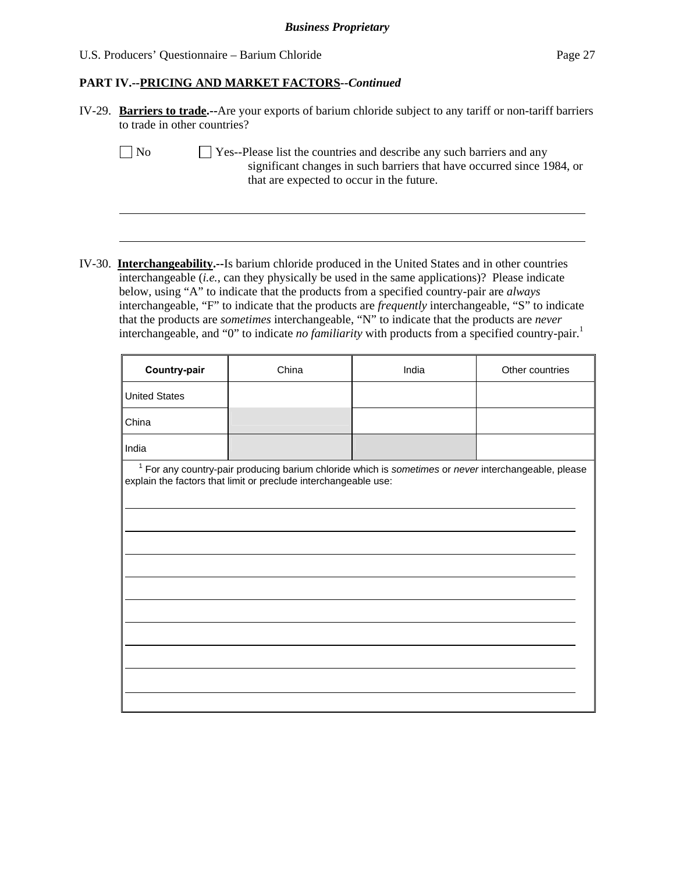# **PART IV.--PRICING AND MARKET FACTORS***--Continued*

| IV-29. Barriers to trade.--Are your exports of barium chloride subject to any tariff or non-tariff barriers<br>to trade in other countries?                                                                                                                                                                                                     |       |                                                                                                                                                                                                                                                                                                         |                 |  |  |
|-------------------------------------------------------------------------------------------------------------------------------------------------------------------------------------------------------------------------------------------------------------------------------------------------------------------------------------------------|-------|---------------------------------------------------------------------------------------------------------------------------------------------------------------------------------------------------------------------------------------------------------------------------------------------------------|-----------------|--|--|
| $\rfloor$ No<br>Yes--Please list the countries and describe any such barriers and any<br>significant changes in such barriers that have occurred since 1984, or<br>that are expected to occur in the future.                                                                                                                                    |       |                                                                                                                                                                                                                                                                                                         |                 |  |  |
|                                                                                                                                                                                                                                                                                                                                                 |       | IV-30. <b>Interchangeability.</b> --Is barium chloride produced in the United States and in other countries<br>interchangeable (i.e., can they physically be used in the same applications)? Please indicate<br>below, using "A" to indicate that the products from a specified country-pair are always |                 |  |  |
| interchangeable, "F" to indicate that the products are <i>frequently</i> interchangeable, "S" to indicate<br>that the products are <i>sometimes</i> interchangeable, "N" to indicate that the products are <i>never</i><br>interchangeable, and "0" to indicate <i>no familiarity</i> with products from a specified country-pair. <sup>1</sup> |       |                                                                                                                                                                                                                                                                                                         |                 |  |  |
| Country-pair                                                                                                                                                                                                                                                                                                                                    | China | India                                                                                                                                                                                                                                                                                                   | Other countries |  |  |
| <b>United States</b>                                                                                                                                                                                                                                                                                                                            |       |                                                                                                                                                                                                                                                                                                         |                 |  |  |
| China                                                                                                                                                                                                                                                                                                                                           |       |                                                                                                                                                                                                                                                                                                         |                 |  |  |
| India                                                                                                                                                                                                                                                                                                                                           |       |                                                                                                                                                                                                                                                                                                         |                 |  |  |
| <sup>1</sup> For any country-pair producing barium chloride which is sometimes or never interchangeable, please<br>explain the factors that limit or preclude interchangeable use:                                                                                                                                                              |       |                                                                                                                                                                                                                                                                                                         |                 |  |  |
|                                                                                                                                                                                                                                                                                                                                                 |       |                                                                                                                                                                                                                                                                                                         |                 |  |  |